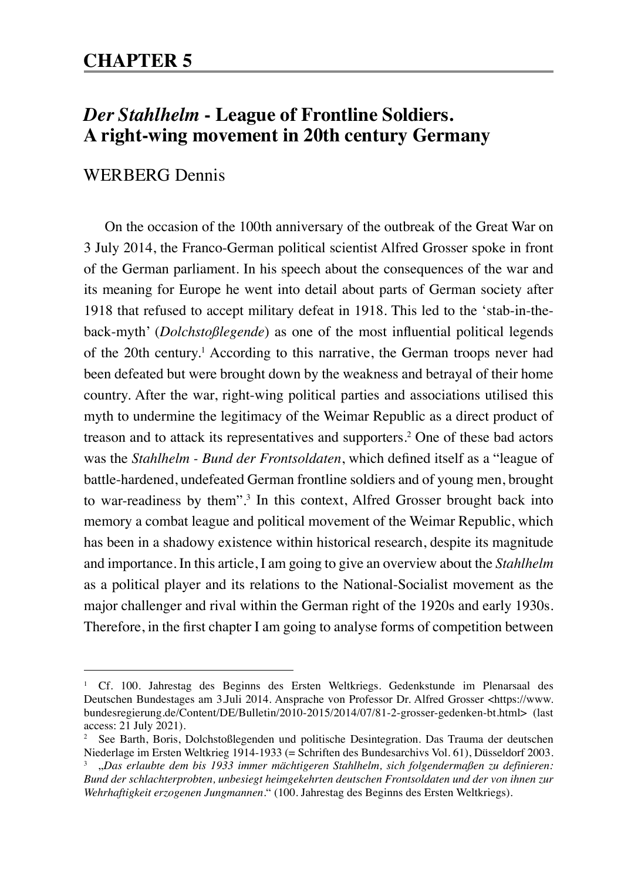## **CHAPTER 5**

# *Der Stahlhelm* **- League of Frontline Soldiers. A right-wing movement in 20th century Germany**

## WERBERG Dennis

On the occasion of the 100th anniversary of the outbreak of the Great War on 3 July 2014, the Franco-German political scientist Alfred Grosser spoke in front of the German parliament. In his speech about the consequences of the war and its meaning for Europe he went into detail about parts of German society after 1918 that refused to accept military defeat in 1918. This led to the 'stab-in-theback-myth' (*Dolchstoßlegende*) as one of the most influential political legends of the 20th century.1 According to this narrative, the German troops never had been defeated but were brought down by the weakness and betrayal of their home country. After the war, right-wing political parties and associations utilised this myth to undermine the legitimacy of the Weimar Republic as a direct product of treason and to attack its representatives and supporters.2 One of these bad actors was the *Stahlhelm - Bund der Frontsoldaten*, which defined itself as a "league of battle-hardened, undefeated German frontline soldiers and of young men, brought to war-readiness by them".<sup>3</sup> In this context, Alfred Grosser brought back into memory a combat league and political movement of the Weimar Republic, which has been in a shadowy existence within historical research, despite its magnitude and importance. In this article, I am going to give an overview about the *Stahlhelm* as a political player and its relations to the National-Socialist movement as the major challenger and rival within the German right of the 1920s and early 1930s. Therefore, in the first chapter I am going to analyse forms of competition between

<sup>1</sup> Cf. 100. Jahrestag des Beginns des Ersten Weltkriegs. Gedenkstunde im Plenarsaal des Deutschen Bundestages am 3.Juli 2014. Ansprache von Professor Dr. Alfred Grosser <https://www. bundesregierung.de/Content/DE/Bulletin/2010-2015/2014/07/81-2-grosser-gedenken-bt.html> (last access: 21 July 2021).

<sup>2</sup> See Barth, Boris, Dolchstoßlegenden und politische Desintegration. Das Trauma der deutschen Niederlage im Ersten Weltkrieg 1914-1933 (= Schriften des Bundesarchivs Vol. 61), Düsseldorf 2003. <sup>3</sup> "*Das erlaubte dem bis 1933 immer mächtigeren Stahlhelm, sich folgendermaßen zu definieren:* 

*Bund der schlachterprobten, unbesiegt heimgekehrten deutschen Frontsoldaten und der von ihnen zur Wehrhaftigkeit erzogenen Jungmannen*." (100. Jahrestag des Beginns des Ersten Weltkriegs).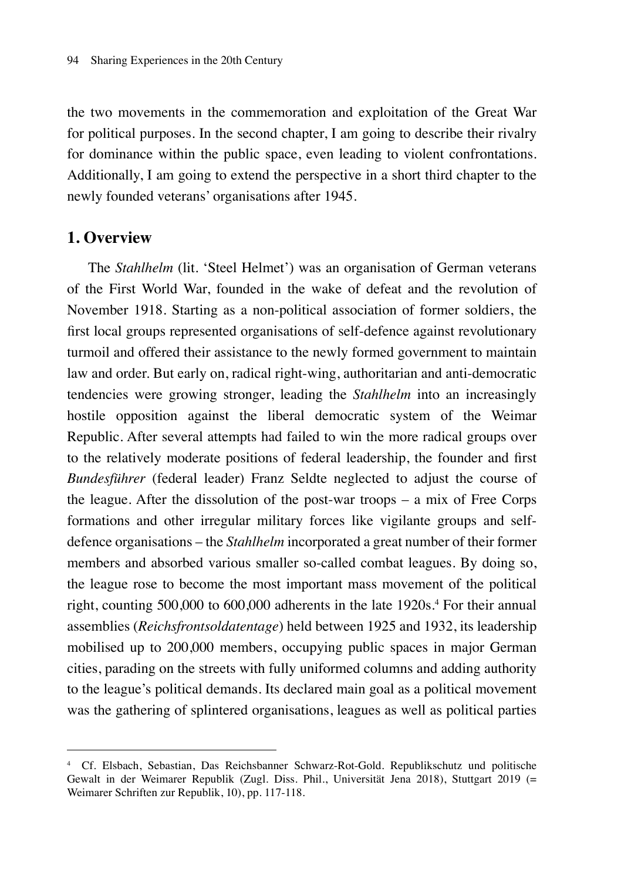the two movements in the commemoration and exploitation of the Great War for political purposes. In the second chapter, I am going to describe their rivalry for dominance within the public space, even leading to violent confrontations. Additionally, I am going to extend the perspective in a short third chapter to the newly founded veterans' organisations after 1945.

#### **1. Overview**

The *Stahlhelm* (lit. 'Steel Helmet') was an organisation of German veterans of the First World War, founded in the wake of defeat and the revolution of November 1918. Starting as a non-political association of former soldiers, the first local groups represented organisations of self-defence against revolutionary turmoil and offered their assistance to the newly formed government to maintain law and order. But early on, radical right-wing, authoritarian and anti-democratic tendencies were growing stronger, leading the *Stahlhelm* into an increasingly hostile opposition against the liberal democratic system of the Weimar Republic. After several attempts had failed to win the more radical groups over to the relatively moderate positions of federal leadership, the founder and first *Bundesführer* (federal leader) Franz Seldte neglected to adjust the course of the league. After the dissolution of the post-war troops – a mix of Free Corps formations and other irregular military forces like vigilante groups and selfdefence organisations – the *Stahlhelm* incorporated a great number of their former members and absorbed various smaller so-called combat leagues. By doing so, the league rose to become the most important mass movement of the political right, counting 500,000 to 600,000 adherents in the late 1920s.<sup>4</sup> For their annual assemblies (*Reichsfrontsoldatentage*) held between 1925 and 1932, its leadership mobilised up to 200,000 members, occupying public spaces in major German cities, parading on the streets with fully uniformed columns and adding authority to the league's political demands. Its declared main goal as a political movement was the gathering of splintered organisations, leagues as well as political parties

<sup>4</sup> Cf. Elsbach, Sebastian, Das Reichsbanner Schwarz-Rot-Gold. Republikschutz und politische Gewalt in der Weimarer Republik (Zugl. Diss. Phil., Universität Jena 2018), Stuttgart 2019 (= Weimarer Schriften zur Republik, 10), pp. 117-118.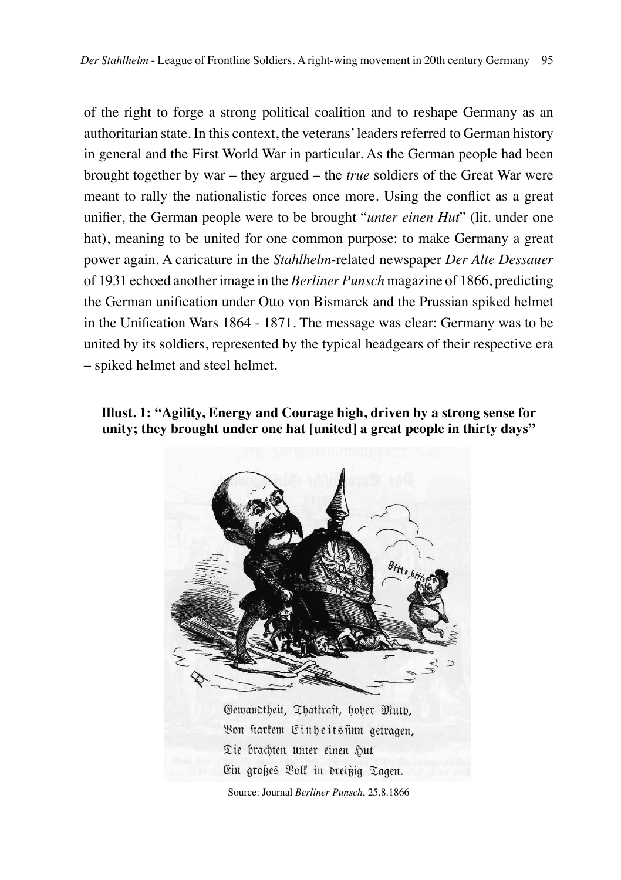of the right to forge a strong political coalition and to reshape Germany as an authoritarian state. In this context, the veterans' leaders referred to German history in general and the First World War in particular. As the German people had been brought together by war – they argued – the *true* soldiers of the Great War were meant to rally the nationalistic forces once more. Using the conflict as a great unifier, the German people were to be brought "*unter einen Hut*" (lit. under one hat), meaning to be united for one common purpose: to make Germany a great power again. A caricature in the *Stahlhelm*-related newspaper *Der Alte Dessauer* of 1931 echoed another image in the *Berliner Punsch* magazine of 1866, predicting the German unification under Otto von Bismarck and the Prussian spiked helmet in the Unification Wars 1864 - 1871. The message was clear: Germany was to be united by its soldiers, represented by the typical headgears of their respective era – spiked helmet and steel helmet.

**Illust. 1: "Agility, Energy and Courage high, driven by a strong sense for unity; they brought under one hat [united] a great people in thirty days"**

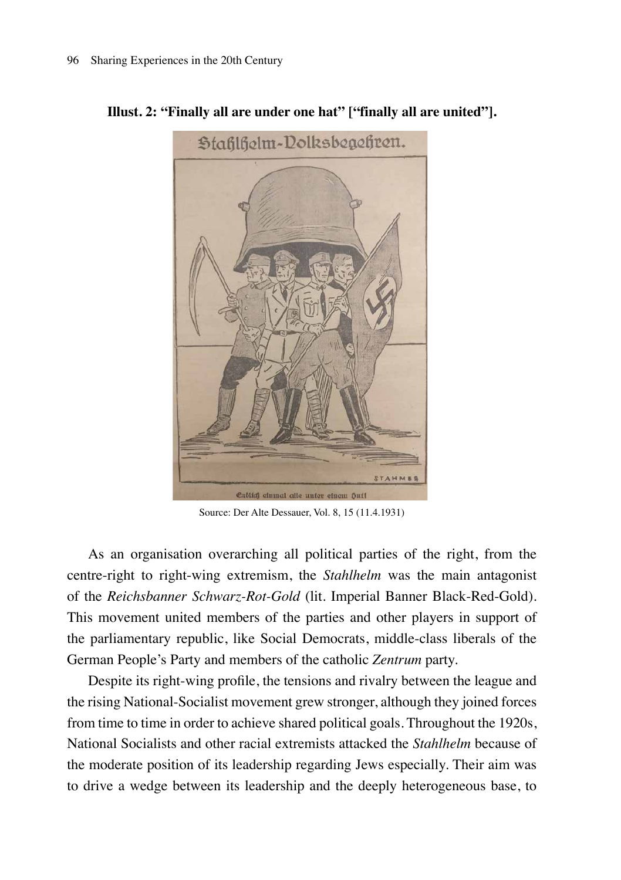

**Illust. 2: "Finally all are under one hat" ["finally all are united"].**

Source: Der Alte Dessauer, Vol. 8, 15 (11.4.1931)

As an organisation overarching all political parties of the right, from the centre-right to right-wing extremism, the *Stahlhelm* was the main antagonist of the *Reichsbanner Schwarz-Rot-Gold* (lit. Imperial Banner Black-Red-Gold). This movement united members of the parties and other players in support of the parliamentary republic, like Social Democrats, middle-class liberals of the German People's Party and members of the catholic *Zentrum* party.

Despite its right-wing profile, the tensions and rivalry between the league and the rising National-Socialist movement grew stronger, although they joined forces from time to time in order to achieve shared political goals. Throughout the 1920s, National Socialists and other racial extremists attacked the *Stahlhelm* because of the moderate position of its leadership regarding Jews especially. Their aim was to drive a wedge between its leadership and the deeply heterogeneous base, to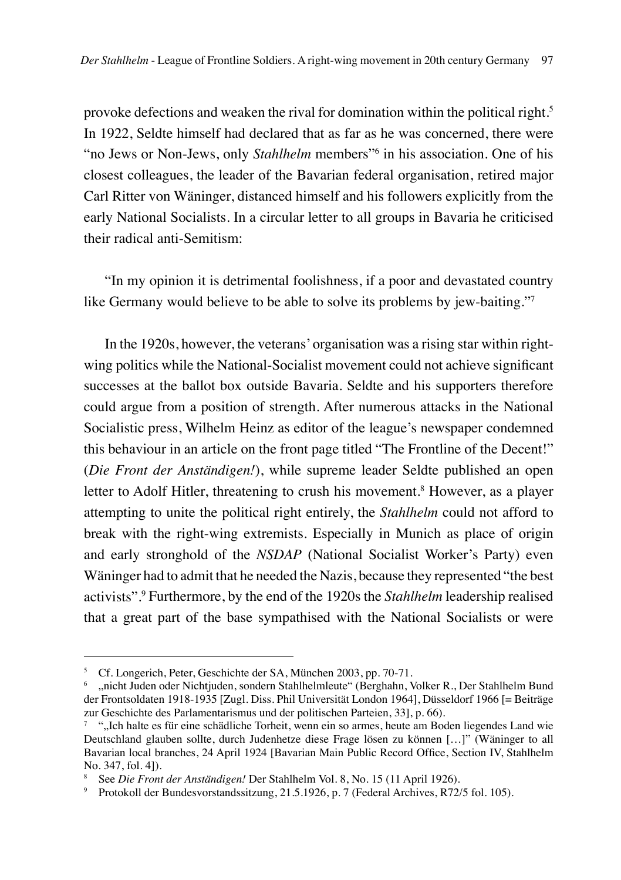provoke defections and weaken the rival for domination within the political right.5 In 1922, Seldte himself had declared that as far as he was concerned, there were "no Jews or Non-Jews, only *Stahlhelm* members"6 in his association. One of his closest colleagues, the leader of the Bavarian federal organisation, retired major Carl Ritter von Wäninger, distanced himself and his followers explicitly from the early National Socialists. In a circular letter to all groups in Bavaria he criticised their radical anti-Semitism:

"In my opinion it is detrimental foolishness, if a poor and devastated country like Germany would believe to be able to solve its problems by jew-baiting."<sup>7</sup>

In the 1920s, however, the veterans' organisation was a rising star within rightwing politics while the National-Socialist movement could not achieve significant successes at the ballot box outside Bavaria. Seldte and his supporters therefore could argue from a position of strength. After numerous attacks in the National Socialistic press, Wilhelm Heinz as editor of the league's newspaper condemned this behaviour in an article on the front page titled "The Frontline of the Decent!" (*Die Front der Anständigen!*), while supreme leader Seldte published an open letter to Adolf Hitler, threatening to crush his movement.<sup>8</sup> However, as a player attempting to unite the political right entirely, the *Stahlhelm* could not afford to break with the right-wing extremists. Especially in Munich as place of origin and early stronghold of the *NSDAP* (National Socialist Worker's Party) even Wäninger had to admit that he needed the Nazis, because they represented "the best activists".9 Furthermore, by the end of the 1920s the *Stahlhelm* leadership realised that a great part of the base sympathised with the National Socialists or were

<sup>5</sup> Cf. Longerich, Peter, Geschichte der SA, München 2003, pp. 70-71.

<sup>6</sup> "nicht Juden oder Nichtjuden, sondern Stahlhelmleute" (Berghahn, Volker R., Der Stahlhelm Bund der Frontsoldaten 1918-1935 [Zugl. Diss. Phil Universität London 1964], Düsseldorf 1966 [= Beiträge zur Geschichte des Parlamentarismus und der politischen Parteien, 33], p. 66).

<sup>7</sup> ""Ich halte es für eine schädliche Torheit, wenn ein so armes, heute am Boden liegendes Land wie Deutschland glauben sollte, durch Judenhetze diese Frage lösen zu können […]" (Wäninger to all Bavarian local branches, 24 April 1924 [Bavarian Main Public Record Office, Section IV, Stahlhelm No. 347, fol. 4]).

<sup>8</sup> See *Die Front der Anständigen!* Der Stahlhelm Vol. 8, No. 15 (11 April 1926).

<sup>9</sup> Protokoll der Bundesvorstandssitzung, 21.5.1926, p. 7 (Federal Archives, R72/5 fol. 105).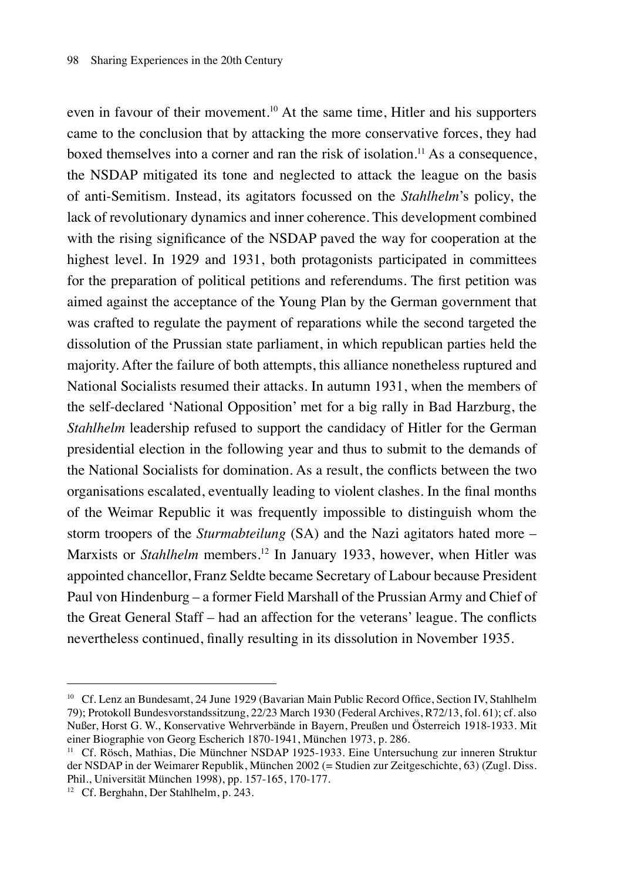even in favour of their movement.<sup>10</sup> At the same time, Hitler and his supporters came to the conclusion that by attacking the more conservative forces, they had boxed themselves into a corner and ran the risk of isolation.11 As a consequence, the NSDAP mitigated its tone and neglected to attack the league on the basis of anti-Semitism. Instead, its agitators focussed on the *Stahlhelm*'s policy, the lack of revolutionary dynamics and inner coherence. This development combined with the rising significance of the NSDAP paved the way for cooperation at the highest level. In 1929 and 1931, both protagonists participated in committees for the preparation of political petitions and referendums. The first petition was aimed against the acceptance of the Young Plan by the German government that was crafted to regulate the payment of reparations while the second targeted the dissolution of the Prussian state parliament, in which republican parties held the majority. After the failure of both attempts, this alliance nonetheless ruptured and National Socialists resumed their attacks. In autumn 1931, when the members of the self-declared 'National Opposition' met for a big rally in Bad Harzburg, the *Stahlhelm* leadership refused to support the candidacy of Hitler for the German presidential election in the following year and thus to submit to the demands of the National Socialists for domination. As a result, the conflicts between the two organisations escalated, eventually leading to violent clashes. In the final months of the Weimar Republic it was frequently impossible to distinguish whom the storm troopers of the *Sturmabteilung* (SA) and the Nazi agitators hated more – Marxists or *Stahlhelm* members.<sup>12</sup> In January 1933, however, when Hitler was appointed chancellor, Franz Seldte became Secretary of Labour because President Paul von Hindenburg – a former Field Marshall of the Prussian Army and Chief of the Great General Staff – had an affection for the veterans' league. The conflicts nevertheless continued, finally resulting in its dissolution in November 1935.

<sup>10</sup> Cf. Lenz an Bundesamt, 24 June 1929 (Bavarian Main Public Record Office, Section IV, Stahlhelm 79); Protokoll Bundesvorstandssitzung, 22/23 March 1930 (Federal Archives, R72/13, fol. 61); cf. also Nußer, Horst G. W., Konservative Wehrverbände in Bayern, Preußen und Österreich 1918-1933. Mit einer Biographie von Georg Escherich 1870-1941, München 1973, p. 286.

<sup>11</sup> Cf. Rösch, Mathias, Die Münchner NSDAP 1925-1933. Eine Untersuchung zur inneren Struktur der NSDAP in der Weimarer Republik, München 2002 (= Studien zur Zeitgeschichte, 63) (Zugl. Diss. Phil., Universität München 1998), pp. 157-165, 170-177.

<sup>12</sup> Cf. Berghahn, Der Stahlhelm, p. 243.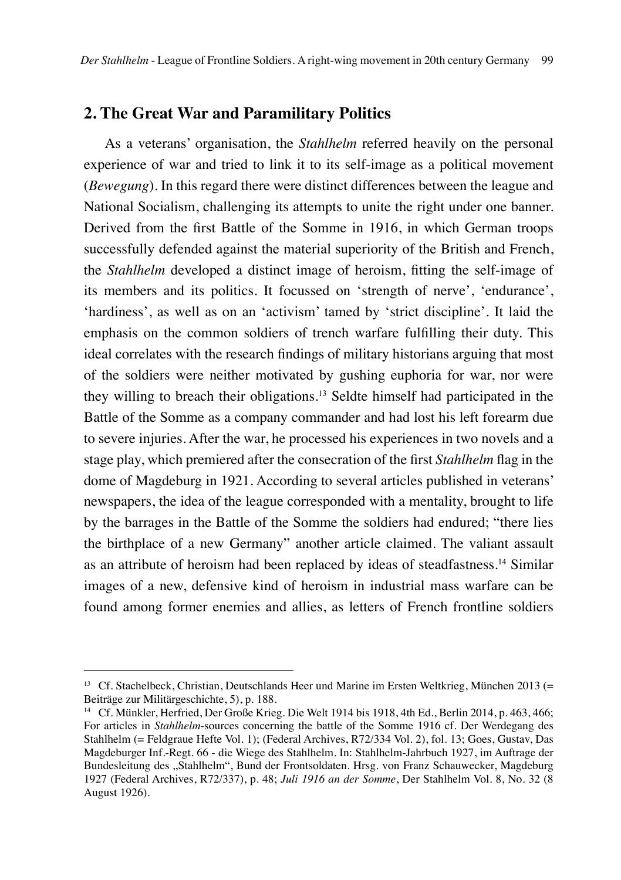## **2. The Great War and Paramilitary Politics**

As a veterans' organisation, the *Stahlhelm* referred heavily on the personal experience of war and tried to link it to its self-image as a political movement (*Bewegung*). In this regard there were distinct differences between the league and National Socialism, challenging its attempts to unite the right under one banner. Derived from the first Battle of the Somme in 1916, in which German troops successfully defended against the material superiority of the British and French, the *Stahlhelm* developed a distinct image of heroism, fitting the self-image of its members and its politics. It focussed on 'strength of nerve', 'endurance', 'hardiness', as well as on an 'activism' tamed by 'strict discipline'. It laid the emphasis on the common soldiers of trench warfare fulfilling their duty. This ideal correlates with the research findings of military historians arguing that most of the soldiers were neither motivated by gushing euphoria for war, nor were they willing to breach their obligations.13 Seldte himself had participated in the Battle of the Somme as a company commander and had lost his left forearm due to severe injuries. After the war, he processed his experiences in two novels and a stage play, which premiered after the consecration of the first *Stahlhelm* flag in the dome of Magdeburg in 1921. According to several articles published in veterans' newspapers, the idea of the league corresponded with a mentality, brought to life by the barrages in the Battle of the Somme the soldiers had endured; "there lies the birthplace of a new Germany" another article claimed. The valiant assault as an attribute of heroism had been replaced by ideas of steadfastness.14 Similar images of a new, defensive kind of heroism in industrial mass warfare can be found among former enemies and allies, as letters of French frontline soldiers

<sup>&</sup>lt;sup>13</sup> Cf. Stachelbeck, Christian, Deutschlands Heer und Marine im Ersten Weltkrieg, München 2013 (= Beiträge zur Militärgeschichte, 5), p. 188.

<sup>&</sup>lt;sup>14</sup> Cf. Münkler, Herfried, Der Große Krieg. Die Welt 1914 bis 1918, 4th Ed., Berlin 2014, p. 463, 466; For articles in *Stahlhelm*-sources concerning the battle of the Somme 1916 cf. Der Werdegang des Stahlhelm (= Feldgraue Hefte Vol. 1); (Federal Archives, R72/334 Vol. 2), fol. 13; Goes, Gustav, Das Magdeburger Inf.-Regt. 66 - die Wiege des Stahlhelm. In: Stahlhelm-Jahrbuch 1927, im Auftrage der Bundesleitung des "Stahlhelm", Bund der Frontsoldaten. Hrsg. von Franz Schauwecker, Magdeburg 1927 (Federal Archives, R72/337), p. 48; *Juli 1916 an der Somme*, Der Stahlhelm Vol. 8, No. 32 (8 August 1926).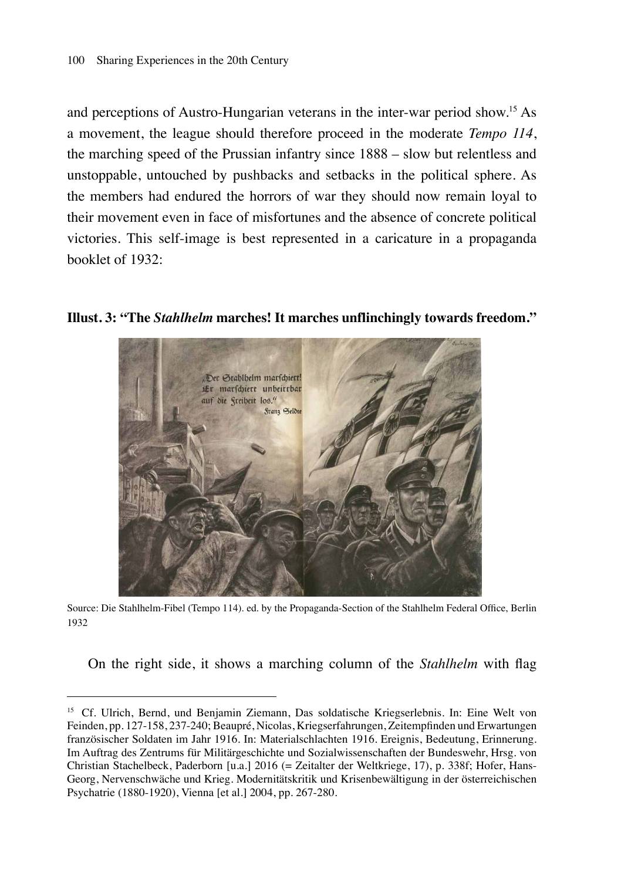and perceptions of Austro-Hungarian veterans in the inter-war period show.15 As a movement, the league should therefore proceed in the moderate *Tempo 114*, the marching speed of the Prussian infantry since 1888 – slow but relentless and unstoppable, untouched by pushbacks and setbacks in the political sphere. As the members had endured the horrors of war they should now remain loyal to their movement even in face of misfortunes and the absence of concrete political victories. This self-image is best represented in a caricature in a propaganda booklet of 1932:

**Illust. 3: "The** *Stahlhelm* **marches! It marches unflinchingly towards freedom."**



Source: Die Stahlhelm-Fibel (Tempo 114). ed. by the Propaganda-Section of the Stahlhelm Federal Office, Berlin 1932

On the right side, it shows a marching column of the *Stahlhelm* with flag

<sup>15</sup> Cf. Ulrich, Bernd, und Benjamin Ziemann, Das soldatische Kriegserlebnis. In: Eine Welt von Feinden, pp. 127-158, 237-240; Beaupré, Nicolas, Kriegserfahrungen, Zeitempfinden und Erwartungen französischer Soldaten im Jahr 1916. In: Materialschlachten 1916. Ereignis, Bedeutung, Erinnerung. Im Auftrag des Zentrums für Militärgeschichte und Sozialwissenschaften der Bundeswehr, Hrsg. von Christian Stachelbeck, Paderborn [u.a.] 2016 (= Zeitalter der Weltkriege, 17), p. 338f; Hofer, Hans-Georg, Nervenschwäche und Krieg. Modernitätskritik und Krisenbewältigung in der österreichischen Psychatrie (1880-1920), Vienna [et al.] 2004, pp. 267-280.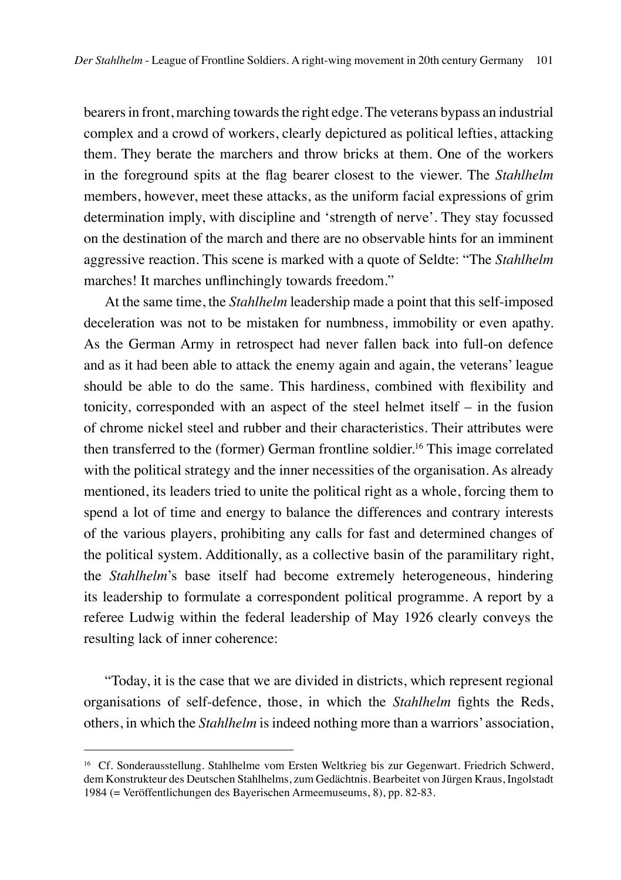bearers in front, marching towards the right edge. The veterans bypass an industrial complex and a crowd of workers, clearly depictured as political lefties, attacking them. They berate the marchers and throw bricks at them. One of the workers in the foreground spits at the flag bearer closest to the viewer. The *Stahlhelm* members, however, meet these attacks, as the uniform facial expressions of grim determination imply, with discipline and 'strength of nerve'. They stay focussed on the destination of the march and there are no observable hints for an imminent aggressive reaction. This scene is marked with a quote of Seldte: "The *Stahlhelm* marches! It marches unflinchingly towards freedom."

At the same time, the *Stahlhelm* leadership made a point that this self-imposed deceleration was not to be mistaken for numbness, immobility or even apathy. As the German Army in retrospect had never fallen back into full-on defence and as it had been able to attack the enemy again and again, the veterans' league should be able to do the same. This hardiness, combined with flexibility and tonicity, corresponded with an aspect of the steel helmet itself – in the fusion of chrome nickel steel and rubber and their characteristics. Their attributes were then transferred to the (former) German frontline soldier.<sup>16</sup> This image correlated with the political strategy and the inner necessities of the organisation. As already mentioned, its leaders tried to unite the political right as a whole, forcing them to spend a lot of time and energy to balance the differences and contrary interests of the various players, prohibiting any calls for fast and determined changes of the political system. Additionally, as a collective basin of the paramilitary right, the *Stahlhelm*'s base itself had become extremely heterogeneous, hindering its leadership to formulate a correspondent political programme. A report by a referee Ludwig within the federal leadership of May 1926 clearly conveys the resulting lack of inner coherence:

"Today, it is the case that we are divided in districts, which represent regional organisations of self-defence, those, in which the *Stahlhelm* fights the Reds, others, in which the *Stahlhelm* is indeed nothing more than a warriors' association,

<sup>&</sup>lt;sup>16</sup> Cf. Sonderausstellung. Stahlhelme vom Ersten Weltkrieg bis zur Gegenwart. Friedrich Schwerd, dem Konstrukteur des Deutschen Stahlhelms, zum Gedächtnis. Bearbeitet von Jürgen Kraus, Ingolstadt 1984 (= Veröffentlichungen des Bayerischen Armeemuseums, 8), pp. 82-83.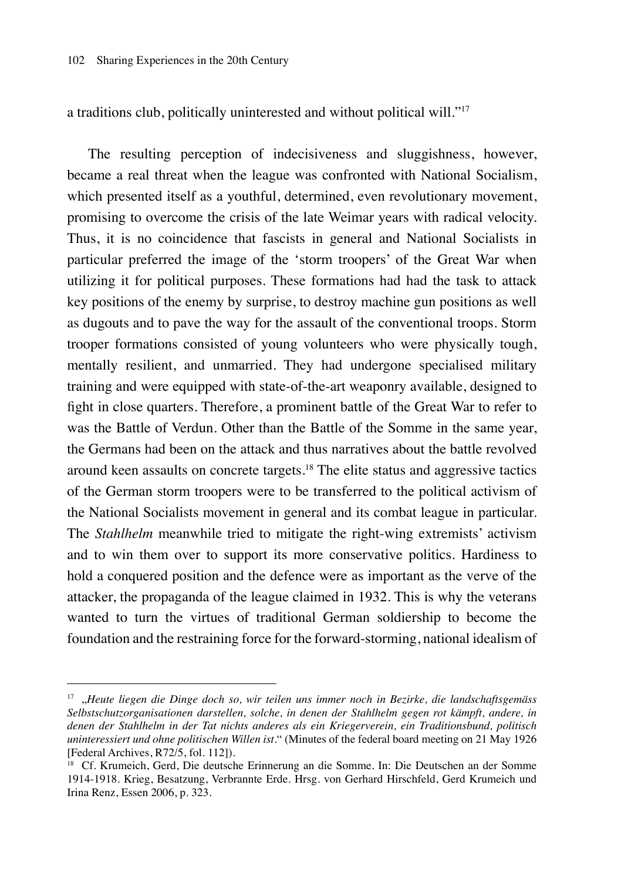a traditions club, politically uninterested and without political will."17

The resulting perception of indecisiveness and sluggishness, however, became a real threat when the league was confronted with National Socialism, which presented itself as a youthful, determined, even revolutionary movement, promising to overcome the crisis of the late Weimar years with radical velocity. Thus, it is no coincidence that fascists in general and National Socialists in particular preferred the image of the 'storm troopers' of the Great War when utilizing it for political purposes. These formations had had the task to attack key positions of the enemy by surprise, to destroy machine gun positions as well as dugouts and to pave the way for the assault of the conventional troops. Storm trooper formations consisted of young volunteers who were physically tough, mentally resilient, and unmarried. They had undergone specialised military training and were equipped with state-of-the-art weaponry available, designed to fight in close quarters. Therefore, a prominent battle of the Great War to refer to was the Battle of Verdun. Other than the Battle of the Somme in the same year, the Germans had been on the attack and thus narratives about the battle revolved around keen assaults on concrete targets.18 The elite status and aggressive tactics of the German storm troopers were to be transferred to the political activism of the National Socialists movement in general and its combat league in particular. The *Stahlhelm* meanwhile tried to mitigate the right-wing extremists' activism and to win them over to support its more conservative politics. Hardiness to hold a conquered position and the defence were as important as the verve of the attacker, the propaganda of the league claimed in 1932. This is why the veterans wanted to turn the virtues of traditional German soldiership to become the foundation and the restraining force for the forward-storming, national idealism of

<sup>17</sup> "*Heute liegen die Dinge doch so, wir teilen uns immer noch in Bezirke, die landschaftsgemäss Selbstschutzorganisationen darstellen, solche, in denen der Stahlhelm gegen rot kämpft, andere, in denen der Stahlhelm in der Tat nichts anderes als ein Kriegerverein, ein Traditionsbund, politisch uninteressiert und ohne politischen Willen ist*." (Minutes of the federal board meeting on 21 May 1926 [Federal Archives, R72/5, fol. 112]).

<sup>&</sup>lt;sup>18</sup> Cf. Krumeich, Gerd, Die deutsche Erinnerung an die Somme. In: Die Deutschen an der Somme 1914-1918. Krieg, Besatzung, Verbrannte Erde. Hrsg. von Gerhard Hirschfeld, Gerd Krumeich und Irina Renz, Essen 2006, p. 323.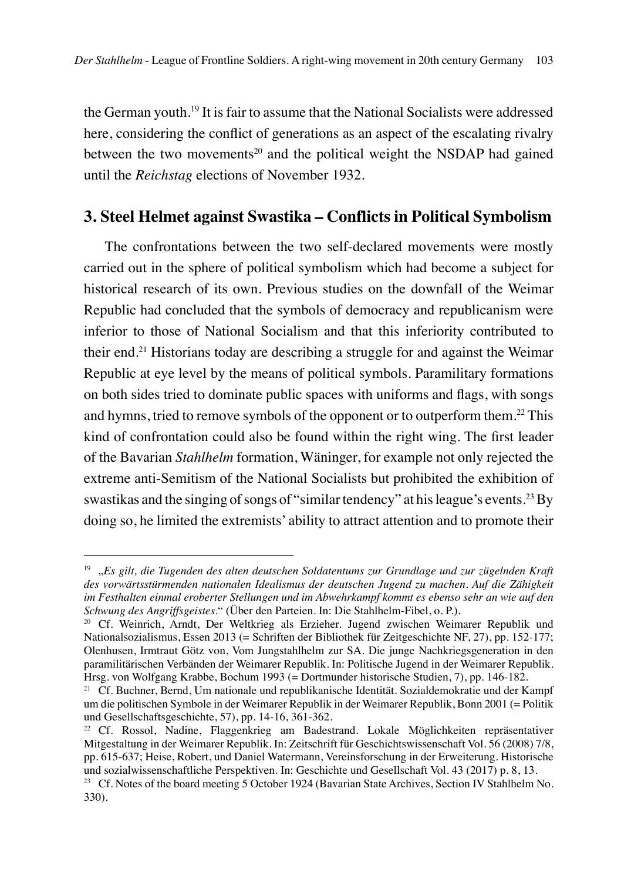the German youth.19 It is fair to assume that the National Socialists were addressed here, considering the conflict of generations as an aspect of the escalating rivalry between the two movements<sup>20</sup> and the political weight the NSDAP had gained until the *Reichstag* elections of November 1932.

## **3. Steel Helmet against Swastika – Conflicts in Political Symbolism**

The confrontations between the two self-declared movements were mostly carried out in the sphere of political symbolism which had become a subject for historical research of its own. Previous studies on the downfall of the Weimar Republic had concluded that the symbols of democracy and republicanism were inferior to those of National Socialism and that this inferiority contributed to their end.21 Historians today are describing a struggle for and against the Weimar Republic at eye level by the means of political symbols. Paramilitary formations on both sides tried to dominate public spaces with uniforms and flags, with songs and hymns, tried to remove symbols of the opponent or to outperform them.<sup>22</sup> This kind of confrontation could also be found within the right wing. The first leader of the Bavarian *Stahlhelm* formation, Wäninger, for example not only rejected the extreme anti-Semitism of the National Socialists but prohibited the exhibition of swastikas and the singing of songs of "similar tendency" at his league's events.23 By doing so, he limited the extremists' ability to attract attention and to promote their

<sup>19</sup> "*Es gilt, die Tugenden des alten deutschen Soldatentums zur Grundlage und zur zügelnden Kraft des vorwärtsstürmenden nationalen Idealismus der deutschen Jugend zu machen. Auf die Zähigkeit im Festhalten einmal eroberter Stellungen und im Abwehrkampf kommt es ebenso sehr an wie auf den Schwung des Angriffsgeistes*." (Über den Parteien. In: Die Stahlhelm-Fibel, o. P.).

<sup>20</sup> Cf. Weinrich, Arndt, Der Weltkrieg als Erzieher. Jugend zwischen Weimarer Republik und Nationalsozialismus, Essen 2013 (= Schriften der Bibliothek für Zeitgeschichte NF, 27), pp. 152-177; Olenhusen, Irmtraut Götz von, Vom Jungstahlhelm zur SA. Die junge Nachkriegsgeneration in den paramilitärischen Verbänden der Weimarer Republik. In: Politische Jugend in der Weimarer Republik. Hrsg. von Wolfgang Krabbe, Bochum 1993 (= Dortmunder historische Studien, 7), pp. 146-182.

<sup>&</sup>lt;sup>21</sup> Cf. Buchner, Bernd, Um nationale und republikanische Identität. Sozialdemokratie und der Kampf um die politischen Symbole in der Weimarer Republik in der Weimarer Republik, Bonn 2001 (= Politik und Gesellschaftsgeschichte, 57), pp. 14-16, 361-362.

<sup>22</sup> Cf. Rossol, Nadine, Flaggenkrieg am Badestrand. Lokale Möglichkeiten repräsentativer Mitgestaltung in der Weimarer Republik. In: Zeitschrift für Geschichtswissenschaft Vol. 56 (2008) 7/8, pp. 615-637; Heise, Robert, und Daniel Watermann, Vereinsforschung in der Erweiterung. Historische und sozialwissenschaftliche Perspektiven. In: Geschichte und Gesellschaft Vol. 43 (2017) p. 8, 13.

<sup>&</sup>lt;sup>23</sup> Cf. Notes of the board meeting 5 October 1924 (Bavarian State Archives, Section IV Stahlhelm No. 330).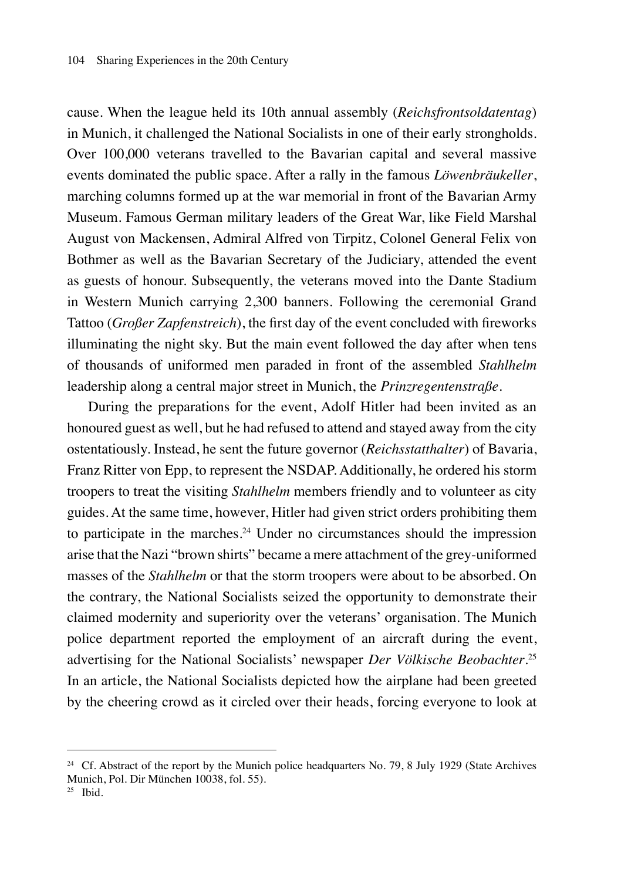cause. When the league held its 10th annual assembly (*Reichsfrontsoldatentag*) in Munich, it challenged the National Socialists in one of their early strongholds. Over 100,000 veterans travelled to the Bavarian capital and several massive events dominated the public space. After a rally in the famous *Löwenbräukeller*, marching columns formed up at the war memorial in front of the Bavarian Army Museum. Famous German military leaders of the Great War, like Field Marshal August von Mackensen, Admiral Alfred von Tirpitz, Colonel General Felix von Bothmer as well as the Bavarian Secretary of the Judiciary, attended the event as guests of honour. Subsequently, the veterans moved into the Dante Stadium in Western Munich carrying 2,300 banners. Following the ceremonial Grand Tattoo (*Großer Zapfenstreich*), the first day of the event concluded with fireworks illuminating the night sky. But the main event followed the day after when tens of thousands of uniformed men paraded in front of the assembled *Stahlhelm*  leadership along a central major street in Munich, the *Prinzregentenstraße.*

During the preparations for the event, Adolf Hitler had been invited as an honoured guest as well, but he had refused to attend and stayed away from the city ostentatiously. Instead, he sent the future governor (*Reichsstatthalter*) of Bavaria, Franz Ritter von Epp, to represent the NSDAP. Additionally, he ordered his storm troopers to treat the visiting *Stahlhelm* members friendly and to volunteer as city guides. At the same time, however, Hitler had given strict orders prohibiting them to participate in the marches.<sup>24</sup> Under no circumstances should the impression arise that the Nazi "brown shirts" became a mere attachment of the grey-uniformed masses of the *Stahlhelm* or that the storm troopers were about to be absorbed. On the contrary, the National Socialists seized the opportunity to demonstrate their claimed modernity and superiority over the veterans' organisation. The Munich police department reported the employment of an aircraft during the event, advertising for the National Socialists' newspaper *Der Völkische Beobachter*. 25 In an article, the National Socialists depicted how the airplane had been greeted by the cheering crowd as it circled over their heads, forcing everyone to look at

<sup>&</sup>lt;sup>24</sup> Cf. Abstract of the report by the Munich police headquarters No. 79, 8 July 1929 (State Archives Munich, Pol. Dir München 10038, fol. 55).

 $25$  Ibid.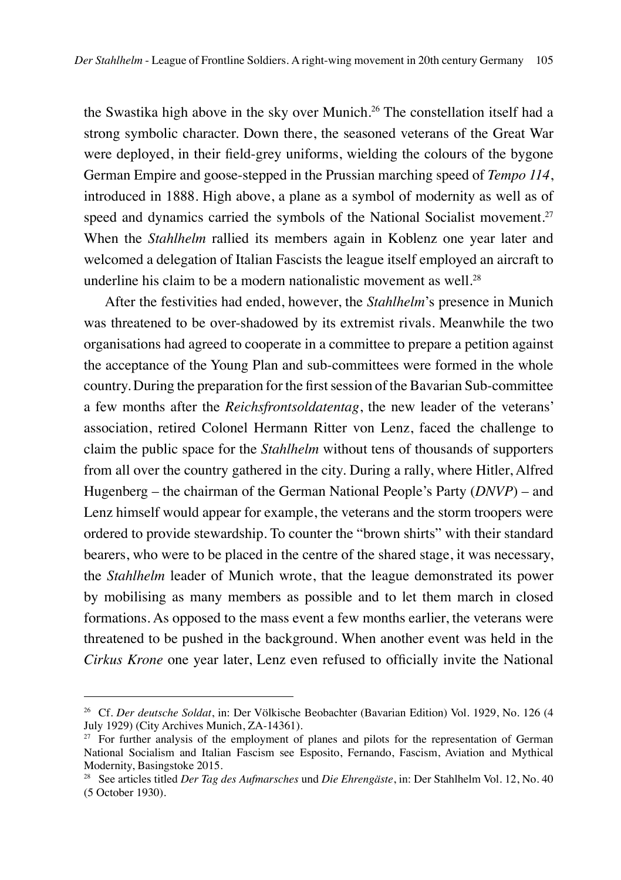the Swastika high above in the sky over Munich.<sup>26</sup> The constellation itself had a strong symbolic character. Down there, the seasoned veterans of the Great War were deployed, in their field-grey uniforms, wielding the colours of the bygone German Empire and goose-stepped in the Prussian marching speed of *Tempo 114*, introduced in 1888. High above, a plane as a symbol of modernity as well as of speed and dynamics carried the symbols of the National Socialist movement.<sup>27</sup> When the *Stahlhelm* rallied its members again in Koblenz one year later and welcomed a delegation of Italian Fascists the league itself employed an aircraft to underline his claim to be a modern nationalistic movement as well. $28$ 

After the festivities had ended, however, the *Stahlhelm*'s presence in Munich was threatened to be over-shadowed by its extremist rivals. Meanwhile the two organisations had agreed to cooperate in a committee to prepare a petition against the acceptance of the Young Plan and sub-committees were formed in the whole country. During the preparation for the first session of the Bavarian Sub-committee a few months after the *Reichsfrontsoldatentag*, the new leader of the veterans' association, retired Colonel Hermann Ritter von Lenz, faced the challenge to claim the public space for the *Stahlhelm* without tens of thousands of supporters from all over the country gathered in the city. During a rally, where Hitler, Alfred Hugenberg – the chairman of the German National People's Party (*DNVP*) – and Lenz himself would appear for example, the veterans and the storm troopers were ordered to provide stewardship. To counter the "brown shirts" with their standard bearers, who were to be placed in the centre of the shared stage, it was necessary, the *Stahlhelm* leader of Munich wrote, that the league demonstrated its power by mobilising as many members as possible and to let them march in closed formations. As opposed to the mass event a few months earlier, the veterans were threatened to be pushed in the background. When another event was held in the *Cirkus Krone* one year later, Lenz even refused to officially invite the National

<sup>26</sup> Cf. *Der deutsche Soldat*, in: Der Völkische Beobachter (Bavarian Edition) Vol. 1929, No. 126 (4 July 1929) (City Archives Munich, ZA-14361).

 $27$  For further analysis of the employment of planes and pilots for the representation of German National Socialism and Italian Fascism see Esposito, Fernando, Fascism, Aviation and Mythical Modernity, Basingstoke 2015.

<sup>28</sup> See articles titled *Der Tag des Aufmarsches* und *Die Ehrengäste*, in: Der Stahlhelm Vol. 12, No. 40 (5 October 1930).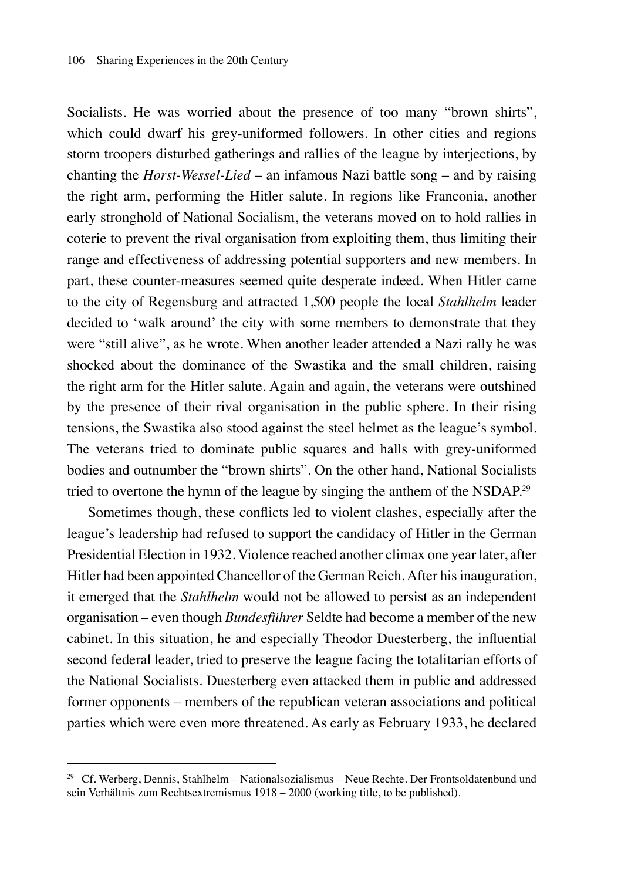Socialists. He was worried about the presence of too many "brown shirts". which could dwarf his grey-uniformed followers. In other cities and regions storm troopers disturbed gatherings and rallies of the league by interjections, by chanting the *Horst-Wessel-Lied* – an infamous Nazi battle song – and by raising the right arm, performing the Hitler salute. In regions like Franconia, another early stronghold of National Socialism, the veterans moved on to hold rallies in coterie to prevent the rival organisation from exploiting them, thus limiting their range and effectiveness of addressing potential supporters and new members. In part, these counter-measures seemed quite desperate indeed. When Hitler came to the city of Regensburg and attracted 1,500 people the local *Stahlhelm* leader decided to 'walk around' the city with some members to demonstrate that they were "still alive", as he wrote. When another leader attended a Nazi rally he was shocked about the dominance of the Swastika and the small children, raising the right arm for the Hitler salute. Again and again, the veterans were outshined by the presence of their rival organisation in the public sphere. In their rising tensions, the Swastika also stood against the steel helmet as the league's symbol. The veterans tried to dominate public squares and halls with grey-uniformed bodies and outnumber the "brown shirts". On the other hand, National Socialists tried to overtone the hymn of the league by singing the anthem of the NSDAP.29

Sometimes though, these conflicts led to violent clashes, especially after the league's leadership had refused to support the candidacy of Hitler in the German Presidential Election in 1932. Violence reached another climax one year later, after Hitler had been appointed Chancellor of the German Reich. After his inauguration, it emerged that the *Stahlhelm* would not be allowed to persist as an independent organisation – even though *Bundesführer* Seldte had become a member of the new cabinet. In this situation, he and especially Theodor Duesterberg, the influential second federal leader, tried to preserve the league facing the totalitarian efforts of the National Socialists. Duesterberg even attacked them in public and addressed former opponents – members of the republican veteran associations and political parties which were even more threatened. As early as February 1933, he declared

 $29$  Cf. Werberg, Dennis, Stahlhelm – Nationalsozialismus – Neue Rechte. Der Frontsoldatenbund und sein Verhältnis zum Rechtsextremismus 1918 – 2000 (working title, to be published).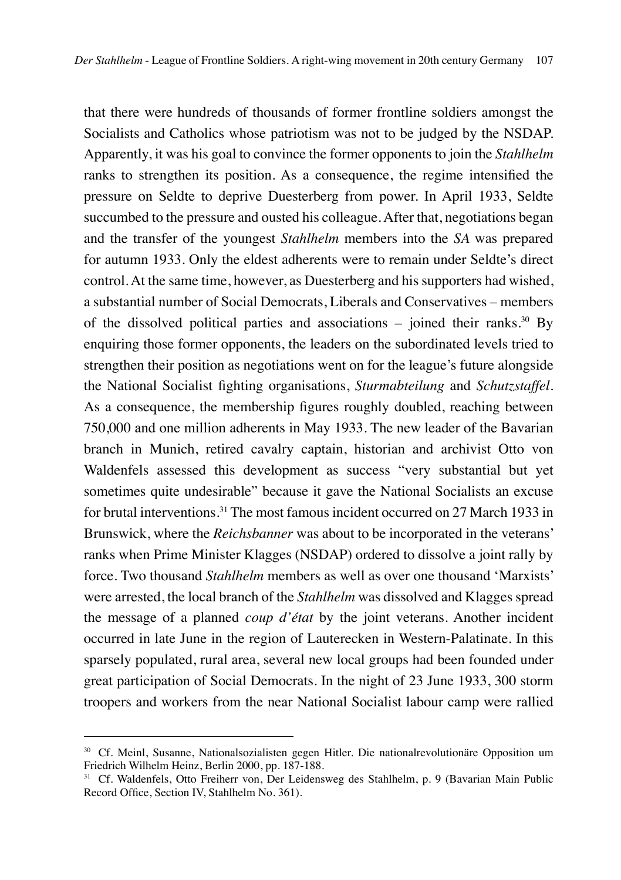that there were hundreds of thousands of former frontline soldiers amongst the Socialists and Catholics whose patriotism was not to be judged by the NSDAP. Apparently, it was his goal to convince the former opponents to join the *Stahlhelm* ranks to strengthen its position. As a consequence, the regime intensified the pressure on Seldte to deprive Duesterberg from power. In April 1933, Seldte succumbed to the pressure and ousted his colleague. After that, negotiations began and the transfer of the youngest *Stahlhelm* members into the *SA* was prepared for autumn 1933. Only the eldest adherents were to remain under Seldte's direct control. At the same time, however, as Duesterberg and his supporters had wished, a substantial number of Social Democrats, Liberals and Conservatives – members of the dissolved political parties and associations – joined their ranks.<sup>30</sup> By enquiring those former opponents, the leaders on the subordinated levels tried to strengthen their position as negotiations went on for the league's future alongside the National Socialist fighting organisations, *Sturmabteilung* and *Schutzstaffel*. As a consequence, the membership figures roughly doubled, reaching between 750,000 and one million adherents in May 1933. The new leader of the Bavarian branch in Munich, retired cavalry captain, historian and archivist Otto von Waldenfels assessed this development as success "very substantial but yet sometimes quite undesirable" because it gave the National Socialists an excuse for brutal interventions.31 The most famous incident occurred on 27 March 1933 in Brunswick, where the *Reichsbanner* was about to be incorporated in the veterans' ranks when Prime Minister Klagges (NSDAP) ordered to dissolve a joint rally by force. Two thousand *Stahlhelm* members as well as over one thousand 'Marxists' were arrested, the local branch of the *Stahlhelm* was dissolved and Klagges spread the message of a planned *coup d'état* by the joint veterans. Another incident occurred in late June in the region of Lauterecken in Western-Palatinate. In this sparsely populated, rural area, several new local groups had been founded under great participation of Social Democrats. In the night of 23 June 1933, 300 storm troopers and workers from the near National Socialist labour camp were rallied

<sup>30</sup> Cf. Meinl, Susanne, Nationalsozialisten gegen Hitler. Die nationalrevolutionäre Opposition um Friedrich Wilhelm Heinz, Berlin 2000, pp. 187-188.

<sup>&</sup>lt;sup>31</sup> Cf. Waldenfels, Otto Freiherr von, Der Leidensweg des Stahlhelm, p. 9 (Bavarian Main Public Record Office, Section IV, Stahlhelm No. 361).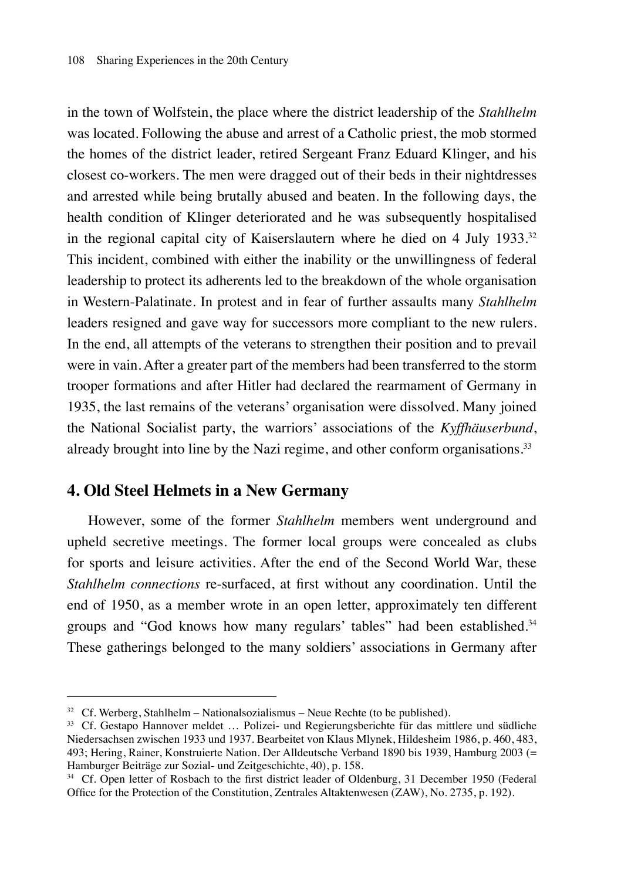in the town of Wolfstein, the place where the district leadership of the *Stahlhelm* was located. Following the abuse and arrest of a Catholic priest, the mob stormed the homes of the district leader, retired Sergeant Franz Eduard Klinger, and his closest co-workers. The men were dragged out of their beds in their nightdresses and arrested while being brutally abused and beaten. In the following days, the health condition of Klinger deteriorated and he was subsequently hospitalised in the regional capital city of Kaiserslautern where he died on 4 July  $1933.^{32}$ This incident, combined with either the inability or the unwillingness of federal leadership to protect its adherents led to the breakdown of the whole organisation in Western-Palatinate. In protest and in fear of further assaults many *Stahlhelm* leaders resigned and gave way for successors more compliant to the new rulers. In the end, all attempts of the veterans to strengthen their position and to prevail were in vain. After a greater part of the members had been transferred to the storm trooper formations and after Hitler had declared the rearmament of Germany in 1935, the last remains of the veterans' organisation were dissolved. Many joined the National Socialist party, the warriors' associations of the *Kyffhäuserbund*, already brought into line by the Nazi regime, and other conform organisations.<sup>33</sup>

#### **4. Old Steel Helmets in a New Germany**

However, some of the former *Stahlhelm* members went underground and upheld secretive meetings. The former local groups were concealed as clubs for sports and leisure activities. After the end of the Second World War, these *Stahlhelm connections* re-surfaced, at first without any coordination. Until the end of 1950, as a member wrote in an open letter, approximately ten different groups and "God knows how many regulars' tables" had been established.<sup>34</sup> These gatherings belonged to the many soldiers' associations in Germany after

 $32$  Cf. Werberg, Stahlhelm – Nationalsozialismus – Neue Rechte (to be published).

<sup>33</sup> Cf. Gestapo Hannover meldet … Polizei- und Regierungsberichte für das mittlere und südliche Niedersachsen zwischen 1933 und 1937. Bearbeitet von Klaus Mlynek, Hildesheim 1986, p. 460, 483, 493; Hering, Rainer, Konstruierte Nation. Der Alldeutsche Verband 1890 bis 1939, Hamburg 2003 (= Hamburger Beiträge zur Sozial- und Zeitgeschichte, 40), p. 158.

<sup>&</sup>lt;sup>34</sup> Cf. Open letter of Rosbach to the first district leader of Oldenburg, 31 December 1950 (Federal Office for the Protection of the Constitution, Zentrales Altaktenwesen (ZAW), No. 2735, p. 192).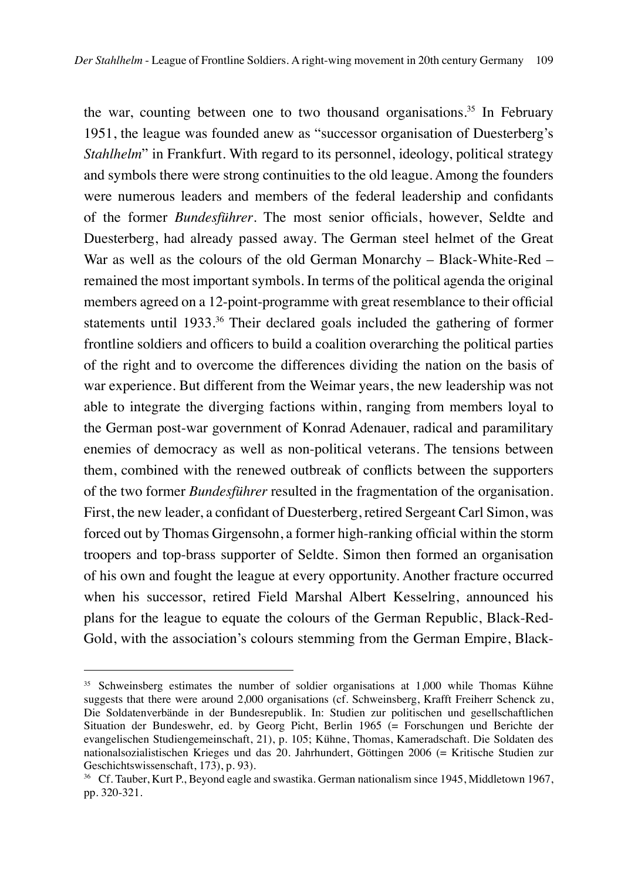the war, counting between one to two thousand organisations.<sup>35</sup> In February 1951, the league was founded anew as "successor organisation of Duesterberg's *Stahlhelm*" in Frankfurt. With regard to its personnel, ideology, political strategy and symbols there were strong continuities to the old league. Among the founders were numerous leaders and members of the federal leadership and confidants of the former *Bundesführer*. The most senior officials, however, Seldte and Duesterberg, had already passed away. The German steel helmet of the Great War as well as the colours of the old German Monarchy – Black-White-Red – remained the most important symbols. In terms of the political agenda the original members agreed on a 12-point-programme with great resemblance to their official statements until 1933.<sup>36</sup> Their declared goals included the gathering of former frontline soldiers and officers to build a coalition overarching the political parties of the right and to overcome the differences dividing the nation on the basis of war experience. But different from the Weimar years, the new leadership was not able to integrate the diverging factions within, ranging from members loyal to the German post-war government of Konrad Adenauer, radical and paramilitary enemies of democracy as well as non-political veterans. The tensions between them, combined with the renewed outbreak of conflicts between the supporters of the two former *Bundesführer* resulted in the fragmentation of the organisation. First, the new leader, a confidant of Duesterberg, retired Sergeant Carl Simon, was forced out by Thomas Girgensohn, a former high-ranking official within the storm troopers and top-brass supporter of Seldte. Simon then formed an organisation of his own and fought the league at every opportunity. Another fracture occurred when his successor, retired Field Marshal Albert Kesselring, announced his plans for the league to equate the colours of the German Republic, Black-Red-Gold, with the association's colours stemming from the German Empire, Black-

<sup>&</sup>lt;sup>35</sup> Schweinsberg estimates the number of soldier organisations at 1,000 while Thomas Kühne suggests that there were around 2,000 organisations (cf. Schweinsberg, Krafft Freiherr Schenck zu, Die Soldatenverbände in der Bundesrepublik. In: Studien zur politischen und gesellschaftlichen Situation der Bundeswehr, ed. by Georg Picht, Berlin 1965 (= Forschungen und Berichte der evangelischen Studiengemeinschaft, 21), p. 105; Kühne, Thomas, Kameradschaft. Die Soldaten des nationalsozialistischen Krieges und das 20. Jahrhundert, Göttingen 2006 (= Kritische Studien zur Geschichtswissenschaft, 173), p. 93).

<sup>36</sup> Cf. Tauber, Kurt P., Beyond eagle and swastika. German nationalism since 1945, Middletown 1967, pp. 320-321.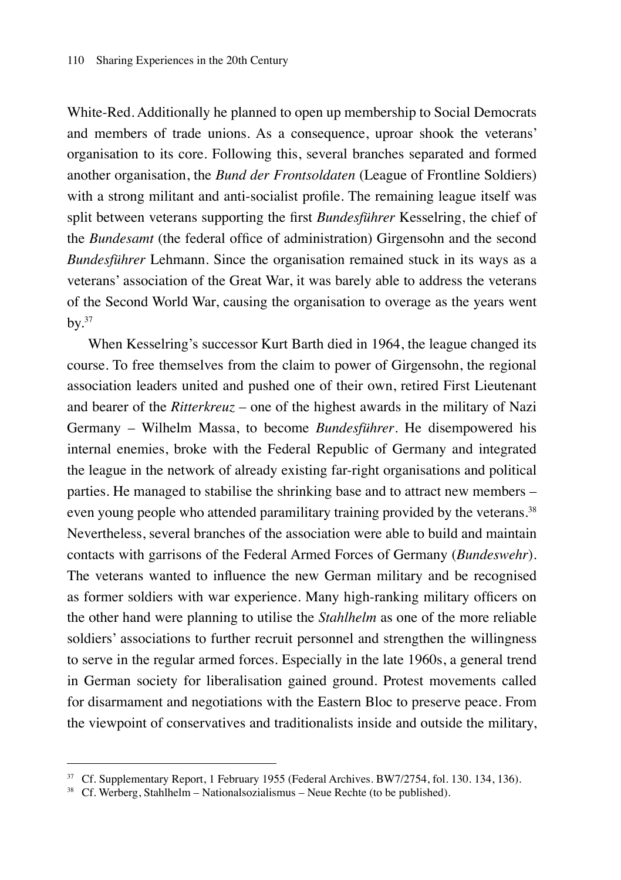White-Red. Additionally he planned to open up membership to Social Democrats and members of trade unions. As a consequence, uproar shook the veterans' organisation to its core. Following this, several branches separated and formed another organisation, the *Bund der Frontsoldaten* (League of Frontline Soldiers) with a strong militant and anti-socialist profile. The remaining league itself was split between veterans supporting the first *Bundesführer* Kesselring, the chief of the *Bundesamt* (the federal office of administration) Girgensohn and the second *Bundesführer* Lehmann. Since the organisation remained stuck in its ways as a veterans' association of the Great War, it was barely able to address the veterans of the Second World War, causing the organisation to overage as the years went  $bv.$ <sup>37</sup>

When Kesselring's successor Kurt Barth died in 1964, the league changed its course. To free themselves from the claim to power of Girgensohn, the regional association leaders united and pushed one of their own, retired First Lieutenant and bearer of the *Ritterkreuz* – one of the highest awards in the military of Nazi Germany – Wilhelm Massa, to become *Bundesführer*. He disempowered his internal enemies, broke with the Federal Republic of Germany and integrated the league in the network of already existing far-right organisations and political parties. He managed to stabilise the shrinking base and to attract new members – even young people who attended paramilitary training provided by the veterans.<sup>38</sup> Nevertheless, several branches of the association were able to build and maintain contacts with garrisons of the Federal Armed Forces of Germany (*Bundeswehr*). The veterans wanted to influence the new German military and be recognised as former soldiers with war experience. Many high-ranking military officers on the other hand were planning to utilise the *Stahlhelm* as one of the more reliable soldiers' associations to further recruit personnel and strengthen the willingness to serve in the regular armed forces. Especially in the late 1960s, a general trend in German society for liberalisation gained ground. Protest movements called for disarmament and negotiations with the Eastern Bloc to preserve peace. From the viewpoint of conservatives and traditionalists inside and outside the military,

<sup>&</sup>lt;sup>37</sup> Cf. Supplementary Report, 1 February 1955 (Federal Archives, BW7/2754, fol. 130, 134, 136).

 $38$  Cf. Werberg, Stahlhelm – Nationalsozialismus – Neue Rechte (to be published).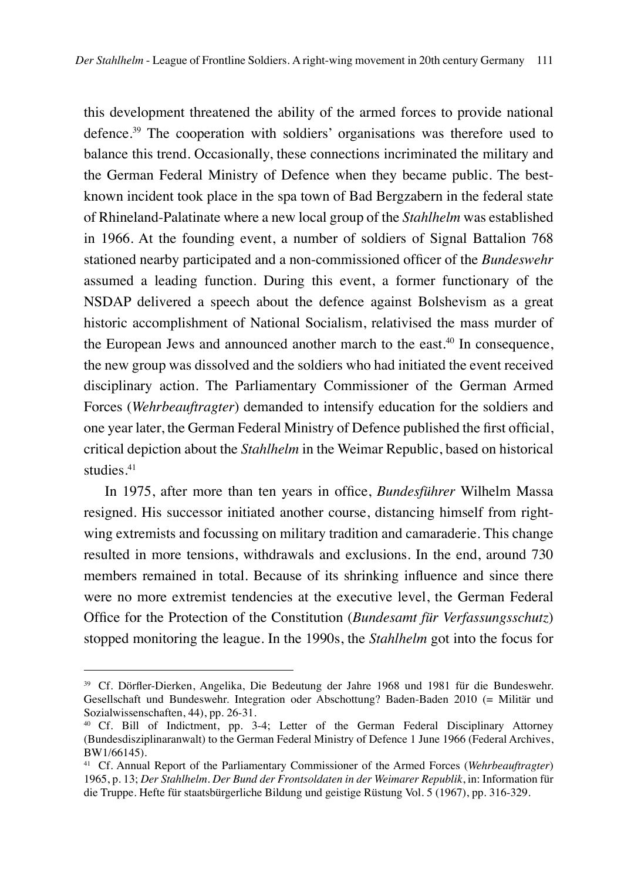this development threatened the ability of the armed forces to provide national defence.39 The cooperation with soldiers' organisations was therefore used to balance this trend. Occasionally, these connections incriminated the military and the German Federal Ministry of Defence when they became public. The bestknown incident took place in the spa town of Bad Bergzabern in the federal state of Rhineland-Palatinate where a new local group of the *Stahlhelm* was established in 1966. At the founding event, a number of soldiers of Signal Battalion 768 stationed nearby participated and a non-commissioned officer of the *Bundeswehr* assumed a leading function. During this event, a former functionary of the NSDAP delivered a speech about the defence against Bolshevism as a great historic accomplishment of National Socialism, relativised the mass murder of the European Jews and announced another march to the east.<sup>40</sup> In consequence, the new group was dissolved and the soldiers who had initiated the event received disciplinary action. The Parliamentary Commissioner of the German Armed Forces (*Wehrbeauftragter*) demanded to intensify education for the soldiers and one year later, the German Federal Ministry of Defence published the first official, critical depiction about the *Stahlhelm* in the Weimar Republic, based on historical studies.<sup>41</sup>

In 1975, after more than ten years in office, *Bundesführer* Wilhelm Massa resigned. His successor initiated another course, distancing himself from rightwing extremists and focussing on military tradition and camaraderie. This change resulted in more tensions, withdrawals and exclusions. In the end, around 730 members remained in total. Because of its shrinking influence and since there were no more extremist tendencies at the executive level, the German Federal Office for the Protection of the Constitution (*Bundesamt für Verfassungsschutz*) stopped monitoring the league. In the 1990s, the *Stahlhelm* got into the focus for

<sup>39</sup> Cf. Dörfler-Dierken, Angelika, Die Bedeutung der Jahre 1968 und 1981 für die Bundeswehr. Gesellschaft und Bundeswehr. Integration oder Abschottung? Baden-Baden 2010 (= Militär und Sozialwissenschaften, 44), pp. 26-31.

<sup>40</sup> Cf. Bill of Indictment, pp. 3-4; Letter of the German Federal Disciplinary Attorney (Bundesdisziplinaranwalt) to the German Federal Ministry of Defence 1 June 1966 (Federal Archives, BW1/66145).

<sup>41</sup> Cf. Annual Report of the Parliamentary Commissioner of the Armed Forces (*Wehrbeauftragter*) 1965, p. 13; *Der Stahlhelm. Der Bund der Frontsoldaten in der Weimarer Republik*, in: Information für die Truppe. Hefte für staatsbürgerliche Bildung und geistige Rüstung Vol. 5 (1967), pp. 316-329.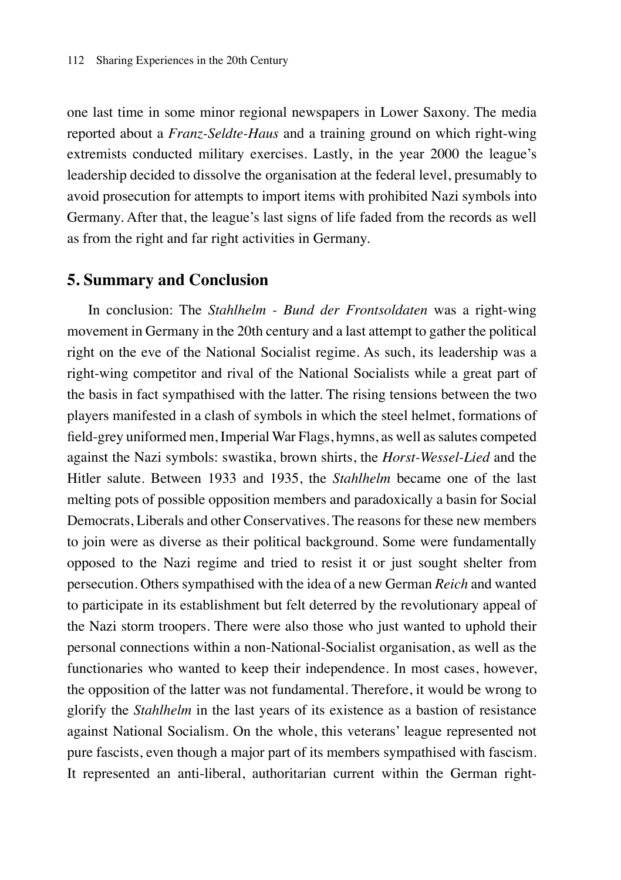one last time in some minor regional newspapers in Lower Saxony. The media reported about a *Franz-Seldte-Haus* and a training ground on which right-wing extremists conducted military exercises. Lastly, in the year 2000 the league's leadership decided to dissolve the organisation at the federal level, presumably to avoid prosecution for attempts to import items with prohibited Nazi symbols into Germany. After that, the league's last signs of life faded from the records as well as from the right and far right activities in Germany.

#### **5. Summary and Conclusion**

In conclusion: The *Stahlhelm - Bund der Frontsoldaten* was a right-wing movement in Germany in the 20th century and a last attempt to gather the political right on the eve of the National Socialist regime. As such, its leadership was a right-wing competitor and rival of the National Socialists while a great part of the basis in fact sympathised with the latter. The rising tensions between the two players manifested in a clash of symbols in which the steel helmet, formations of field-grey uniformed men, Imperial War Flags, hymns, as well as salutes competed against the Nazi symbols: swastika, brown shirts, the *Horst-Wessel-Lied* and the Hitler salute. Between 1933 and 1935, the *Stahlhelm* became one of the last melting pots of possible opposition members and paradoxically a basin for Social Democrats, Liberals and other Conservatives. The reasons for these new members to join were as diverse as their political background. Some were fundamentally opposed to the Nazi regime and tried to resist it or just sought shelter from persecution. Others sympathised with the idea of a new German *Reich* and wanted to participate in its establishment but felt deterred by the revolutionary appeal of the Nazi storm troopers. There were also those who just wanted to uphold their personal connections within a non-National-Socialist organisation, as well as the functionaries who wanted to keep their independence. In most cases, however, the opposition of the latter was not fundamental. Therefore, it would be wrong to glorify the *Stahlhelm* in the last years of its existence as a bastion of resistance against National Socialism. On the whole, this veterans' league represented not pure fascists, even though a major part of its members sympathised with fascism. It represented an anti-liberal, authoritarian current within the German right-